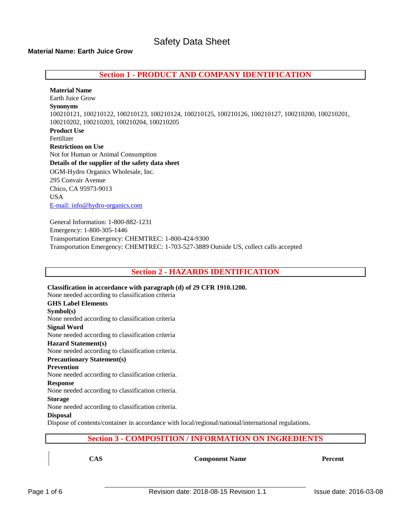# **Material Name: Earth Juice Grow**

**Section 1 - PRODUCT AND COMPANY IDENTIFICATION**

**Material Name** Earth Juice Grow **Synonyms** 100210121, 100210122, 100210123, 100210124, 100210125, 100210126, 100210127, 100210200, 100210201, 100210202, 100210203, 100210204, 100210205 **Product Use** Fertilizer **Restrictions on Use** Not for Human or Animal Consumption **Details of the supplier of the safety data sheet** OGM-Hydro Organics Wholesale, Inc. 295 Convair Avenue Chico, CA 95973-9013 USA [E-mail: info@hydro-organics.com](mailto:info@hydro-organics.com)

General Information: 1-800-882-1231 Emergency: 1-800-305-1446 Transportation Emergency: CHEMTREC: 1-800-424-9300 Transportation Emergency: CHEMTREC: 1-703-527-3889 Outside US, collect calls accepted

**Section 2 - HAZARDS IDENTIFICATION**

**Classification in accordance with paragraph (d) of 29 CFR 1910.1200.** None needed according to classification criteria **GHS Label Elements Symbol(s)** None needed according to classification criteria **Signal Word** None needed according to classification criteria **Hazard Statement(s)** None needed according to classification criteria. **Precautionary Statement(s) Prevention** None needed according to classification criteria. **Response** None needed according to classification criteria. **Storage** None needed according to classification criteria. **Disposal** Dispose of contents/container in accordance with local/regional/national/international regulations.

# **Section 3 - COMPOSITION / INFORMATION ON INGREDIENTS**

**CAS Component Name Percent**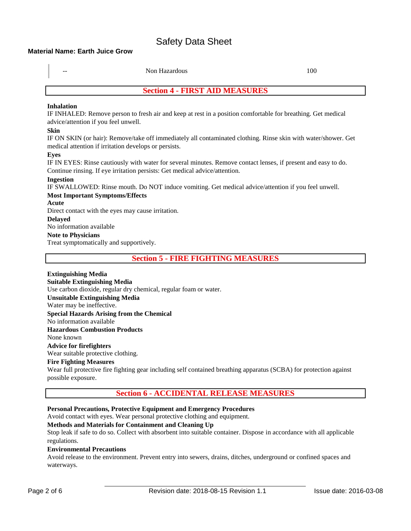## **Material Name: Earth Juice Grow**

| Non Hazardous                                                                                                  | 100 |  |  |
|----------------------------------------------------------------------------------------------------------------|-----|--|--|
| <b>Section 4 - FIRST AID MEASURES</b>                                                                          |     |  |  |
| <b>Inhalation</b>                                                                                              |     |  |  |
| IF INHALED: Remove person to fresh air and keep at rest in a position comfortable for breathing. Get medical   |     |  |  |
| advice/attention if you feel unwell.                                                                           |     |  |  |
| <b>Skin</b>                                                                                                    |     |  |  |
| IF ON SKIN (or hair): Remove/take off immediately all contaminated clothing. Rinse skin with water/shower. Get |     |  |  |
| medical attention if irritation develops or persists.                                                          |     |  |  |
| Eyes                                                                                                           |     |  |  |
| IF IN EYES: Rinse cautiously with water for several minutes. Remove contact lenses, if present and easy to do. |     |  |  |
| Continue rinsing. If eye irritation persists: Get medical advice/attention.                                    |     |  |  |
| <b>Ingestion</b>                                                                                               |     |  |  |
| IF SWALLOWED: Rinse mouth. Do NOT induce vomiting. Get medical advice/attention if you feel unwell.            |     |  |  |
| <b>Most Important Symptoms/Effects</b>                                                                         |     |  |  |
| Acute                                                                                                          |     |  |  |
| Direct contact with the eyes may cause irritation.                                                             |     |  |  |
| <b>Delayed</b>                                                                                                 |     |  |  |
| No information available                                                                                       |     |  |  |
| <b>Note to Physicians</b>                                                                                      |     |  |  |
| Treat symptomatically and supportively.                                                                        |     |  |  |
| <b>Section 5 - FIRE FIGHTING MEASURES</b>                                                                      |     |  |  |

**Extinguishing Media Suitable Extinguishing Media** Use carbon dioxide, regular dry chemical, regular foam or water. **Unsuitable Extinguishing Media** Water may be ineffective. **Special Hazards Arising from the Chemical** No information available **Hazardous Combustion Products** None known

# **Advice for firefighters**

Wear suitable protective clothing.

# **Fire Fighting Measures**

Wear full protective fire fighting gear including self contained breathing apparatus (SCBA) for protection against possible exposure.

# **Section 6 - ACCIDENTAL RELEASE MEASURES**

# **Personal Precautions, Protective Equipment and Emergency Procedures**

Avoid contact with eyes. Wear personal protective clothing and equipment.

# **Methods and Materials for Containment and Cleaning Up**

Stop leak if safe to do so. Collect with absorbent into suitable container. Dispose in accordance with all applicable regulations.

# **Environmental Precautions**

Avoid release to the environment. Prevent entry into sewers, drains, ditches, underground or confined spaces and waterways.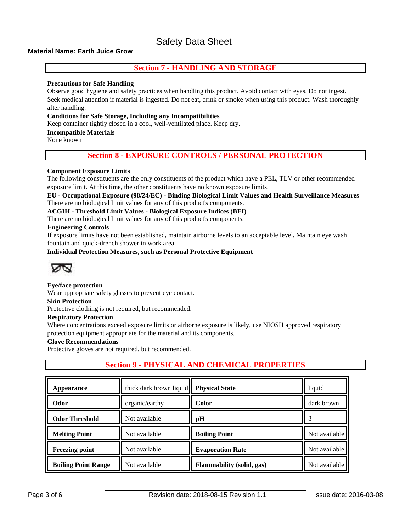# **Material Name: Earth Juice Grow**

# **Section 7 - HANDLING AND STORAGE**

### **Precautions for Safe Handling**

Observe good hygiene and safety practices when handling this product. Avoid contact with eyes. Do not ingest. Seek medical attention if material is ingested. Do not eat, drink or smoke when using this product. Wash thoroughly after handling.

# **Conditions for Safe Storage, Including any Incompatibilities**

Keep container tightly closed in a cool, well-ventilated place. Keep dry.

#### **Incompatible Materials**

None known

# **Section 8 - EXPOSURE CONTROLS / PERSONAL PROTECTION**

## **Component Exposure Limits**

The following constituents are the only constituents of the product which have a PEL, TLV or other recommended exposure limit. At this time, the other constituents have no known exposure limits.

**EU - Occupational Exposure (98/24/EC) - Binding Biological Limit Values and Health Surveillance Measures** There are no biological limit values for any of this product's components.

#### **ACGIH - Threshold Limit Values - Biological Exposure Indices (BEI)**

There are no biological limit values for any of this product's components.

#### **Engineering Controls**

If exposure limits have not been established, maintain airborne levels to an acceptable level. Maintain eye wash fountain and quick-drench shower in work area.

#### **Individual Protection Measures, such as Personal Protective Equipment**



## **Eye/face protection**

Wear appropriate safety glasses to prevent eye contact.

#### **Skin Protection**

Protective clothing is not required, but recommended.

#### **Respiratory Protection**

Where concentrations exceed exposure limits or airborne exposure is likely, use NIOSH approved respiratory protection equipment appropriate for the material and its components.

#### **Glove Recommendations**

Protective gloves are not required, but recommended.

# **Section 9 - PHYSICAL AND CHEMICAL PROPERTIES**

| Appearance                 | thick dark brown liquid | <b>Physical State</b>            | liquid        |
|----------------------------|-------------------------|----------------------------------|---------------|
| Odor                       | organic/earthy          | <b>Color</b>                     | dark brown    |
| <b>Odor Threshold</b>      | Not available           | pH                               |               |
| <b>Melting Point</b>       | Not available           | <b>Boiling Point</b>             | Not available |
| <b>Freezing point</b>      | Not available           | <b>Evaporation Rate</b>          | Not available |
| <b>Boiling Point Range</b> | Not available           | <b>Flammability</b> (solid, gas) | Not available |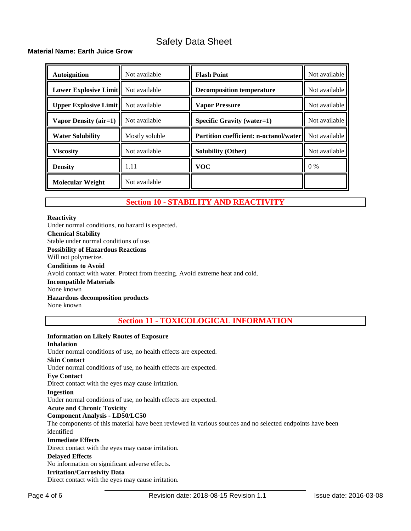# **Material Name: Earth Juice Grow**

| <b>Autoignition</b>                        | Not available  | <b>Flash Point</b>                              | Not available |
|--------------------------------------------|----------------|-------------------------------------------------|---------------|
| <b>Lower Explosive Limit</b> Not available |                | <b>Decomposition temperature</b>                | Not available |
| <b>Upper Explosive Limit</b>               | Not available  | <b>Vapor Pressure</b>                           | Not available |
| Vapor Density (air=1)                      | Not available  | <b>Specific Gravity (water=1)</b>               | Not available |
| <b>Water Solubility</b>                    | Mostly soluble | <b>Partition coefficient: n-octanol/waterll</b> | Not available |
| <b>Viscosity</b>                           | Not available  | Solubility (Other)                              | Not available |
| <b>Density</b>                             | 1.11           | <b>VOC</b>                                      | $0\%$         |
| <b>Molecular Weight</b>                    | Not available  |                                                 |               |

# **Section 10 - STABILITY AND REACTIVITY**

#### **Reactivity**

Under normal conditions, no hazard is expected. **Chemical Stability** Stable under normal conditions of use. **Possibility of Hazardous Reactions** Will not polymerize. **Conditions to Avoid** Avoid contact with water. Protect from freezing. Avoid extreme heat and cold. **Incompatible Materials** None known **Hazardous decomposition products** None known

**Section 11 - TOXICOLOGICAL INFORMATION**

## **Information on Likely Routes of Exposure**

#### **Inhalation**

Under normal conditions of use, no health effects are expected.

#### **Skin Contact**

Under normal conditions of use, no health effects are expected.

## **Eye Contact**

Direct contact with the eyes may cause irritation.

# **Ingestion**

Under normal conditions of use, no health effects are expected.

## **Acute and Chronic Toxicity**

## **Component Analysis - LD50/LC50**

The components of this material have been reviewed in various sources and no selected endpoints have been identified

#### **Immediate Effects**

Direct contact with the eyes may cause irritation.

## **Delayed Effects**

No information on significant adverse effects.

## **Irritation/Corrosivity Data**

Direct contact with the eyes may cause irritation.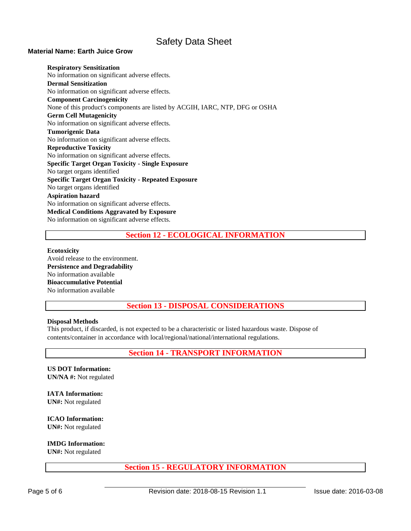## **Material Name: Earth Juice Grow**

**Respiratory Sensitization** No information on significant adverse effects. **Dermal Sensitization** No information on significant adverse effects. **Component Carcinogenicity** None of this product's components are listed by ACGIH, IARC, NTP, DFG or OSHA **Germ Cell Mutagenicity** No information on significant adverse effects. **Tumorigenic Data** No information on significant adverse effects. **Reproductive Toxicity** No information on significant adverse effects. **Specific Target Organ Toxicity - Single Exposure** No target organs identified **Specific Target Organ Toxicity - Repeated Exposure** No target organs identified **Aspiration hazard** No information on significant adverse effects. **Medical Conditions Aggravated by Exposure** No information on significant adverse effects.

# **Section 12 - ECOLOGICAL INFORMATION**

#### **Ecotoxicity**

Avoid release to the environment. **Persistence and Degradability**  No information available **Bioaccumulative Potential**  No information available

**Section 13 - DISPOSAL CONSIDERATIONS**

## **Disposal Methods**

This product, if discarded, is not expected to be a characteristic or listed hazardous waste. Dispose of contents/container in accordance with local/regional/national/international regulations.

**Section 14 - TRANSPORT INFORMATION**

**US DOT Information: UN/NA #:** Not regulated

**IATA Information: UN#:** Not regulated

**ICAO Information: UN#:** Not regulated

**IMDG Information:** 

**UN#:** Not regulated

# **Section 15 - REGULATORY INFORMATION**